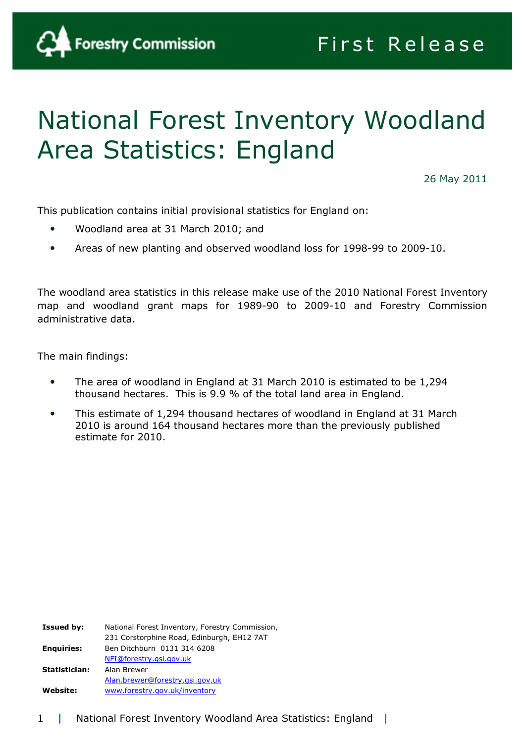

# National Forest Inventory Woodland Area Statistics: England

26 May 2011

This publication contains initial provisional statistics for England on:

- Woodland area at 31 March 2010; and
- Areas of new planting and observed woodland loss for 1998-99 to 2009-10.

The woodland area statistics in this release make use of the 2010 National Forest Inventory map and woodland grant maps for 1989-90 to 2009-10 and Forestry Commission administrative data.

The main findings:

- The area of woodland in England at 31 March 2010 is estimated to be 1,294 thousand hectares. This is 9.9 % of the total land area in England.
- This estimate of 1,294 thousand hectares of woodland in England at 31 March 2010 is around 164 thousand hectares more than the previously published estimate for 2010.

| <b>Issued by:</b> | National Forest Inventory, Forestry Commission, |
|-------------------|-------------------------------------------------|
|                   | 231 Corstorphine Road, Edinburgh, EH12 7AT      |
| <b>Enquiries:</b> | Ben Ditchburn 0131 314 6208                     |
|                   | NFI@forestry.gsi.gov.uk                         |
| Statistician:     | Alan Brewer                                     |
|                   | Alan.brewer@forestry.gsi.gov.uk                 |
| <b>Website:</b>   | www.forestry.gov.uk/inventory                   |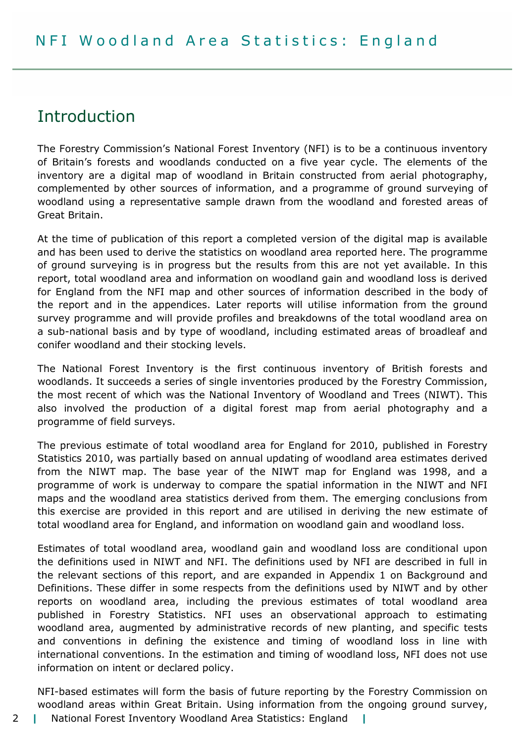# Introduction

The Forestry Commission's National Forest Inventory (NFI) is to be a continuous inventory of Britain's forests and woodlands conducted on a five year cycle. The elements of the inventory are a digital map of woodland in Britain constructed from aerial photography, complemented by other sources of information, and a programme of ground surveying of woodland using a representative sample drawn from the woodland and forested areas of Great Britain.

At the time of publication of this report a completed version of the digital map is available and has been used to derive the statistics on woodland area reported here. The programme of ground surveying is in progress but the results from this are not yet available. In this report, total woodland area and information on woodland gain and woodland loss is derived for England from the NFI map and other sources of information described in the body of the report and in the appendices. Later reports will utilise information from the ground survey programme and will provide profiles and breakdowns of the total woodland area on a sub-national basis and by type of woodland, including estimated areas of broadleaf and conifer woodland and their stocking levels.

The National Forest Inventory is the first continuous inventory of British forests and woodlands. It succeeds a series of single inventories produced by the Forestry Commission, the most recent of which was the National Inventory of Woodland and Trees (NIWT). This also involved the production of a digital forest map from aerial photography and a programme of field surveys.

The previous estimate of total woodland area for England for 2010, published in Forestry Statistics 2010, was partially based on annual updating of woodland area estimates derived from the NIWT map. The base year of the NIWT map for England was 1998, and a programme of work is underway to compare the spatial information in the NIWT and NFI maps and the woodland area statistics derived from them. The emerging conclusions from this exercise are provided in this report and are utilised in deriving the new estimate of total woodland area for England, and information on woodland gain and woodland loss.

Estimates of total woodland area, woodland gain and woodland loss are conditional upon the definitions used in NIWT and NFI. The definitions used by NFI are described in full in the relevant sections of this report, and are expanded in Appendix 1 on Background and Definitions. These differ in some respects from the definitions used by NIWT and by other reports on woodland area, including the previous estimates of total woodland area published in Forestry Statistics. NFI uses an observational approach to estimating woodland area, augmented by administrative records of new planting, and specific tests and conventions in defining the existence and timing of woodland loss in line with international conventions. In the estimation and timing of woodland loss, NFI does not use information on intent or declared policy.

NFI-based estimates will form the basis of future reporting by the Forestry Commission on woodland areas within Great Britain. Using information from the ongoing ground survey,

- 2 | National Forest Inventory Woodland Area Statistics: England |
-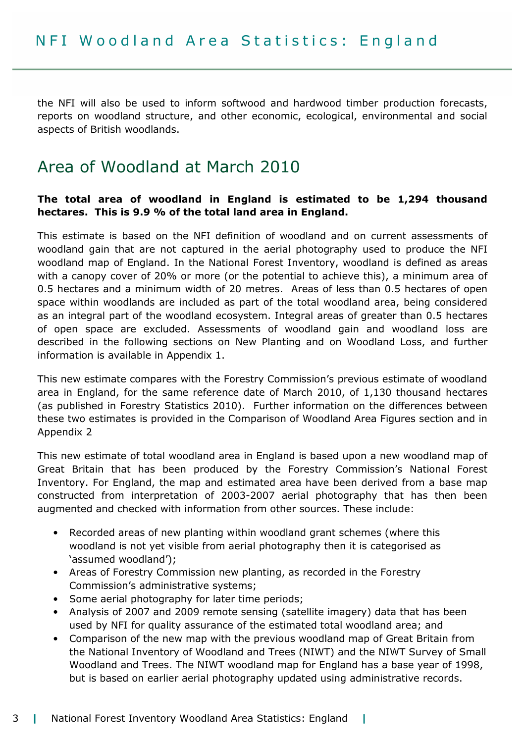the NFI will also be used to inform softwood and hardwood timber production forecasts, reports on woodland structure, and other economic, ecological, environmental and social aspects of British woodlands.

# Area of Woodland at March 2010

#### The total area of woodland in England is estimated to be 1,294 thousand hectares. This is 9.9 % of the total land area in England.

This estimate is based on the NFI definition of woodland and on current assessments of woodland gain that are not captured in the aerial photography used to produce the NFI woodland map of England. In the National Forest Inventory, woodland is defined as areas with a canopy cover of 20% or more (or the potential to achieve this), a minimum area of 0.5 hectares and a minimum width of 20 metres. Areas of less than 0.5 hectares of open space within woodlands are included as part of the total woodland area, being considered as an integral part of the woodland ecosystem. Integral areas of greater than 0.5 hectares of open space are excluded. Assessments of woodland gain and woodland loss are described in the following sections on New Planting and on Woodland Loss, and further information is available in Appendix 1.

This new estimate compares with the Forestry Commission's previous estimate of woodland area in England, for the same reference date of March 2010, of 1,130 thousand hectares (as published in Forestry Statistics 2010). Further information on the differences between these two estimates is provided in the Comparison of Woodland Area Figures section and in Appendix 2

This new estimate of total woodland area in England is based upon a new woodland map of Great Britain that has been produced by the Forestry Commission's National Forest Inventory. For England, the map and estimated area have been derived from a base map constructed from interpretation of 2003-2007 aerial photography that has then been augmented and checked with information from other sources. These include:

- Recorded areas of new planting within woodland grant schemes (where this woodland is not yet visible from aerial photography then it is categorised as 'assumed woodland');
- Areas of Forestry Commission new planting, as recorded in the Forestry Commission's administrative systems;
- Some aerial photography for later time periods;
- Analysis of 2007 and 2009 remote sensing (satellite imagery) data that has been used by NFI for quality assurance of the estimated total woodland area; and
- Comparison of the new map with the previous woodland map of Great Britain from the National Inventory of Woodland and Trees (NIWT) and the NIWT Survey of Small Woodland and Trees. The NIWT woodland map for England has a base year of 1998, but is based on earlier aerial photography updated using administrative records.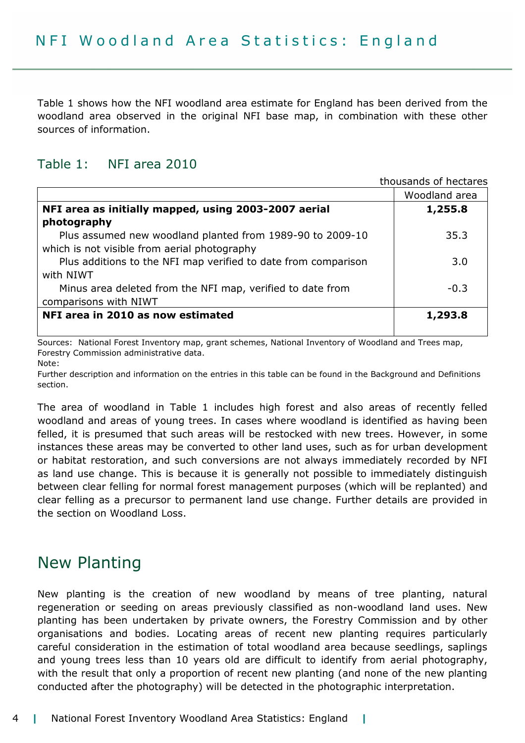Table 1 shows how the NFI woodland area estimate for England has been derived from the woodland area observed in the original NFI base map, in combination with these other sources of information.

## Table 1: NFI area 2010

|                                                                | thousands of hectares |
|----------------------------------------------------------------|-----------------------|
|                                                                | Woodland area         |
| NFI area as initially mapped, using 2003-2007 aerial           | 1,255.8               |
| photography                                                    |                       |
| Plus assumed new woodland planted from 1989-90 to 2009-10      | 35.3                  |
| which is not visible from aerial photography                   |                       |
| Plus additions to the NFI map verified to date from comparison | 3.0                   |
| with NIWT                                                      |                       |
| Minus area deleted from the NFI map, verified to date from     | $-0.3$                |
| comparisons with NIWT                                          |                       |
| NFI area in 2010 as now estimated                              | 1,293.8               |
|                                                                |                       |

Sources: National Forest Inventory map, grant schemes, National Inventory of Woodland and Trees map, Forestry Commission administrative data.

Note:

Further description and information on the entries in this table can be found in the Background and Definitions section.

The area of woodland in Table 1 includes high forest and also areas of recently felled woodland and areas of young trees. In cases where woodland is identified as having been felled, it is presumed that such areas will be restocked with new trees. However, in some instances these areas may be converted to other land uses, such as for urban development or habitat restoration, and such conversions are not always immediately recorded by NFI as land use change. This is because it is generally not possible to immediately distinguish between clear felling for normal forest management purposes (which will be replanted) and clear felling as a precursor to permanent land use change. Further details are provided in the section on Woodland Loss.

# New Planting

New planting is the creation of new woodland by means of tree planting, natural regeneration or seeding on areas previously classified as non-woodland land uses. New planting has been undertaken by private owners, the Forestry Commission and by other organisations and bodies. Locating areas of recent new planting requires particularly careful consideration in the estimation of total woodland area because seedlings, saplings and young trees less than 10 years old are difficult to identify from aerial photography, with the result that only a proportion of recent new planting (and none of the new planting conducted after the photography) will be detected in the photographic interpretation.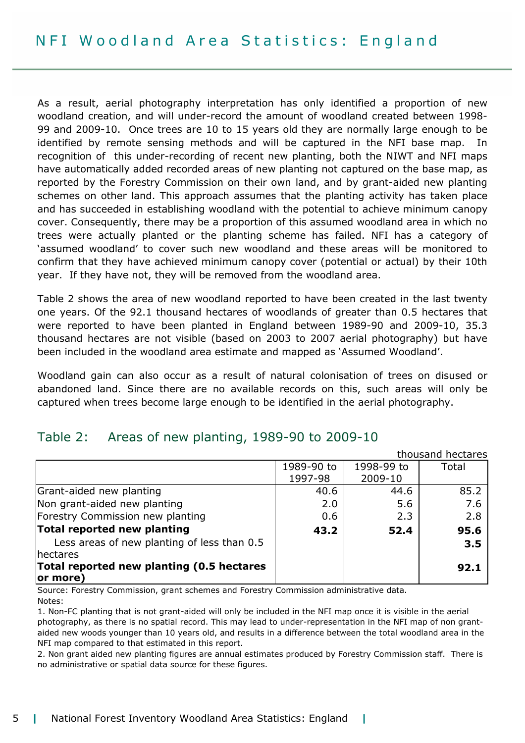As a result, aerial photography interpretation has only identified a proportion of new woodland creation, and will under-record the amount of woodland created between 1998- 99 and 2009-10. Once trees are 10 to 15 years old they are normally large enough to be identified by remote sensing methods and will be captured in the NFI base map. recognition of this under-recording of recent new planting, both the NIWT and NFI maps have automatically added recorded areas of new planting not captured on the base map, as reported by the Forestry Commission on their own land, and by grant-aided new planting schemes on other land. This approach assumes that the planting activity has taken place and has succeeded in establishing woodland with the potential to achieve minimum canopy cover. Consequently, there may be a proportion of this assumed woodland area in which no trees were actually planted or the planting scheme has failed. NFI has a category of 'assumed woodland' to cover such new woodland and these areas will be monitored to confirm that they have achieved minimum canopy cover (potential or actual) by their 10th year. If they have not, they will be removed from the woodland area.

Table 2 shows the area of new woodland reported to have been created in the last twenty one years. Of the 92.1 thousand hectares of woodlands of greater than 0.5 hectares that were reported to have been planted in England between 1989-90 and 2009-10, 35.3 thousand hectares are not visible (based on 2003 to 2007 aerial photography) but have been included in the woodland area estimate and mapped as 'Assumed Woodland'.

Woodland gain can also occur as a result of natural colonisation of trees on disused or abandoned land. Since there are no available records on this, such areas will only be captured when trees become large enough to be identified in the aerial photography.

## Table 2: Areas of new planting, 1989-90 to 2009-10

|                                             |            |            | thousand hectares |
|---------------------------------------------|------------|------------|-------------------|
|                                             | 1989-90 to | 1998-99 to | Total             |
|                                             | 1997-98    | 2009-10    |                   |
| Grant-aided new planting                    | 40.6       | 44.6       | 85.2              |
| Non grant-aided new planting                | 2.0        | 5.6        | 7.6               |
| Forestry Commission new planting            | 0.6        | 2.3        | 2.8               |
| Total reported new planting                 | 43.2       | 52.4       | 95.6              |
| Less areas of new planting of less than 0.5 |            |            | 3.5               |
| hectares                                    |            |            |                   |
| Total reported new planting (0.5 hectares   |            |            | 92.1              |
| or more)                                    |            |            |                   |

Source: Forestry Commission, grant schemes and Forestry Commission administrative data. Notes:

1. Non-FC planting that is not grant-aided will only be included in the NFI map once it is visible in the aerial photography, as there is no spatial record. This may lead to under-representation in the NFI map of non grantaided new woods younger than 10 years old, and results in a difference between the total woodland area in the NFI map compared to that estimated in this report.

2. Non grant aided new planting figures are annual estimates produced by Forestry Commission staff. There is no administrative or spatial data source for these figures.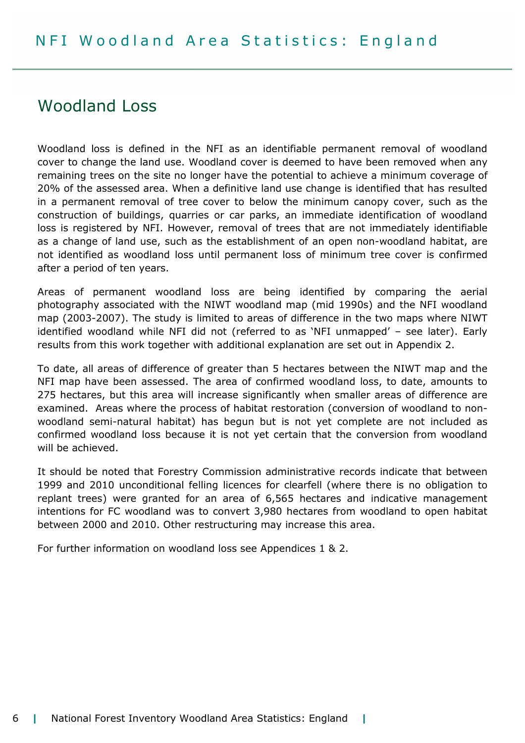# Woodland Loss

Woodland loss is defined in the NFI as an identifiable permanent removal of woodland cover to change the land use. Woodland cover is deemed to have been removed when any remaining trees on the site no longer have the potential to achieve a minimum coverage of 20% of the assessed area. When a definitive land use change is identified that has resulted in a permanent removal of tree cover to below the minimum canopy cover, such as the construction of buildings, quarries or car parks, an immediate identification of woodland loss is registered by NFI. However, removal of trees that are not immediately identifiable as a change of land use, such as the establishment of an open non-woodland habitat, are not identified as woodland loss until permanent loss of minimum tree cover is confirmed after a period of ten years.

Areas of permanent woodland loss are being identified by comparing the aerial photography associated with the NIWT woodland map (mid 1990s) and the NFI woodland map (2003-2007). The study is limited to areas of difference in the two maps where NIWT identified woodland while NFI did not (referred to as 'NFI unmapped' – see later). Early results from this work together with additional explanation are set out in Appendix 2.

To date, all areas of difference of greater than 5 hectares between the NIWT map and the NFI map have been assessed. The area of confirmed woodland loss, to date, amounts to 275 hectares, but this area will increase significantly when smaller areas of difference are examined. Areas where the process of habitat restoration (conversion of woodland to nonwoodland semi-natural habitat) has begun but is not yet complete are not included as confirmed woodland loss because it is not yet certain that the conversion from woodland will be achieved.

It should be noted that Forestry Commission administrative records indicate that between 1999 and 2010 unconditional felling licences for clearfell (where there is no obligation to replant trees) were granted for an area of 6,565 hectares and indicative management intentions for FC woodland was to convert 3,980 hectares from woodland to open habitat between 2000 and 2010. Other restructuring may increase this area.

For further information on woodland loss see Appendices 1 & 2.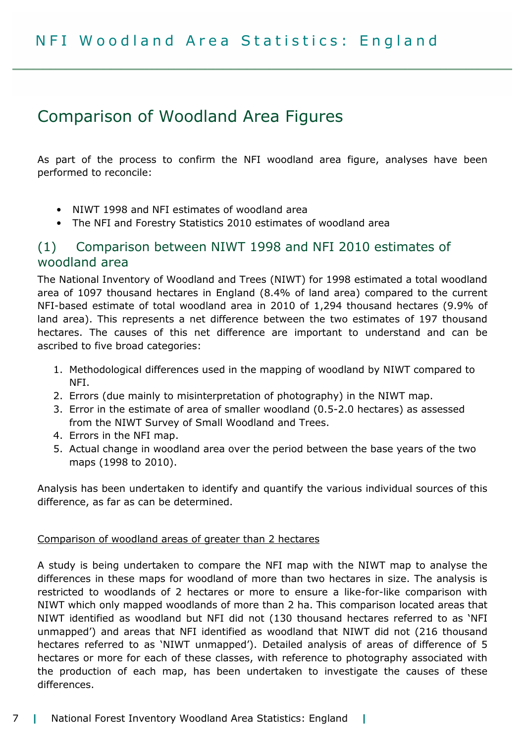# Comparison of Woodland Area Figures

As part of the process to confirm the NFI woodland area figure, analyses have been performed to reconcile:

- NIWT 1998 and NFI estimates of woodland area
- The NFI and Forestry Statistics 2010 estimates of woodland area

## (1) Comparison between NIWT 1998 and NFI 2010 estimates of woodland area

The National Inventory of Woodland and Trees (NIWT) for 1998 estimated a total woodland area of 1097 thousand hectares in England (8.4% of land area) compared to the current NFI-based estimate of total woodland area in 2010 of 1,294 thousand hectares (9.9% of land area). This represents a net difference between the two estimates of 197 thousand hectares. The causes of this net difference are important to understand and can be ascribed to five broad categories:

- 1. Methodological differences used in the mapping of woodland by NIWT compared to NFI.
- 2. Errors (due mainly to misinterpretation of photography) in the NIWT map.
- 3. Error in the estimate of area of smaller woodland (0.5-2.0 hectares) as assessed from the NIWT Survey of Small Woodland and Trees.
- 4. Errors in the NFI map.
- 5. Actual change in woodland area over the period between the base years of the two maps (1998 to 2010).

Analysis has been undertaken to identify and quantify the various individual sources of this difference, as far as can be determined.

#### Comparison of woodland areas of greater than 2 hectares

A study is being undertaken to compare the NFI map with the NIWT map to analyse the differences in these maps for woodland of more than two hectares in size. The analysis is restricted to woodlands of 2 hectares or more to ensure a like-for-like comparison with NIWT which only mapped woodlands of more than 2 ha. This comparison located areas that NIWT identified as woodland but NFI did not (130 thousand hectares referred to as 'NFI unmapped') and areas that NFI identified as woodland that NIWT did not (216 thousand hectares referred to as 'NIWT unmapped'). Detailed analysis of areas of difference of 5 hectares or more for each of these classes, with reference to photography associated with the production of each map, has been undertaken to investigate the causes of these differences.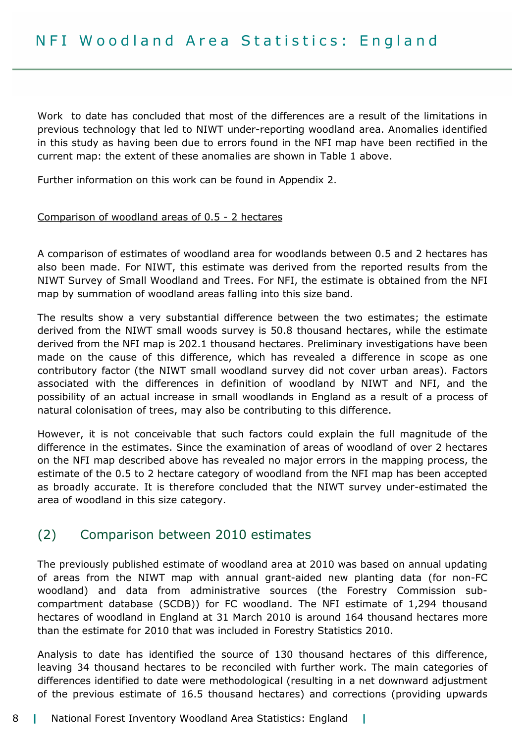Work to date has concluded that most of the differences are a result of the limitations in previous technology that led to NIWT under-reporting woodland area. Anomalies identified in this study as having been due to errors found in the NFI map have been rectified in the current map: the extent of these anomalies are shown in Table 1 above.

Further information on this work can be found in Appendix 2.

#### Comparison of woodland areas of 0.5 - 2 hectares

A comparison of estimates of woodland area for woodlands between 0.5 and 2 hectares has also been made. For NIWT, this estimate was derived from the reported results from the NIWT Survey of Small Woodland and Trees. For NFI, the estimate is obtained from the NFI map by summation of woodland areas falling into this size band.

The results show a very substantial difference between the two estimates; the estimate derived from the NIWT small woods survey is 50.8 thousand hectares, while the estimate derived from the NFI map is 202.1 thousand hectares. Preliminary investigations have been made on the cause of this difference, which has revealed a difference in scope as one contributory factor (the NIWT small woodland survey did not cover urban areas). Factors associated with the differences in definition of woodland by NIWT and NFI, and the possibility of an actual increase in small woodlands in England as a result of a process of natural colonisation of trees, may also be contributing to this difference.

However, it is not conceivable that such factors could explain the full magnitude of the difference in the estimates. Since the examination of areas of woodland of over 2 hectares on the NFI map described above has revealed no major errors in the mapping process, the estimate of the 0.5 to 2 hectare category of woodland from the NFI map has been accepted as broadly accurate. It is therefore concluded that the NIWT survey under-estimated the area of woodland in this size category.

## (2) Comparison between 2010 estimates

The previously published estimate of woodland area at 2010 was based on annual updating of areas from the NIWT map with annual grant-aided new planting data (for non-FC woodland) and data from administrative sources (the Forestry Commission subcompartment database (SCDB)) for FC woodland. The NFI estimate of 1,294 thousand hectares of woodland in England at 31 March 2010 is around 164 thousand hectares more than the estimate for 2010 that was included in Forestry Statistics 2010.

Analysis to date has identified the source of 130 thousand hectares of this difference, leaving 34 thousand hectares to be reconciled with further work. The main categories of differences identified to date were methodological (resulting in a net downward adjustment of the previous estimate of 16.5 thousand hectares) and corrections (providing upwards

#### 8 | National Forest Inventory Woodland Area Statistics: England |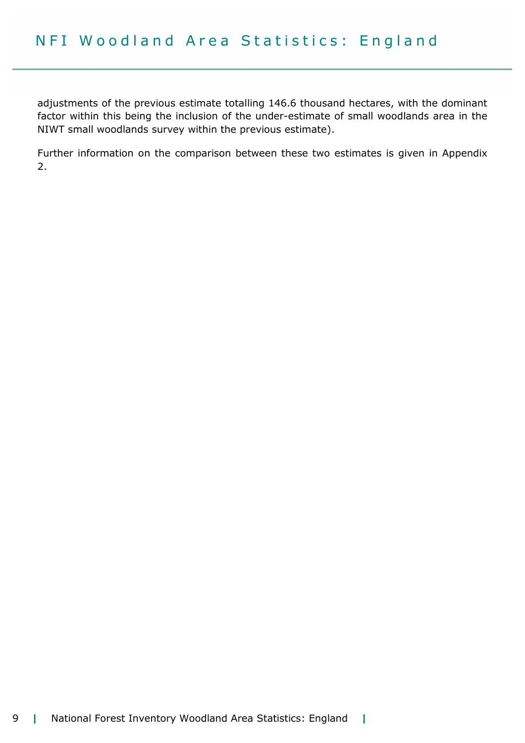adjustments of the previous estimate totalling 146.6 thousand hectares, with the dominant factor within this being the inclusion of the under-estimate of small woodlands area in the NIWT small woodlands survey within the previous estimate).

Further information on the comparison between these two estimates is given in Appendix 2.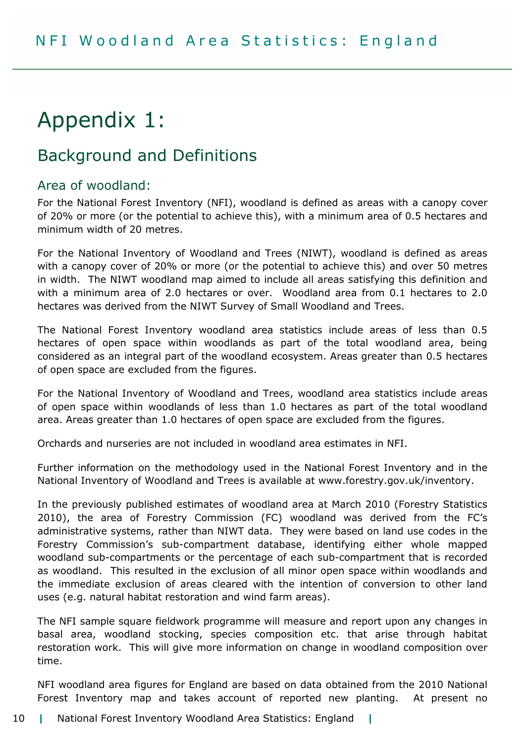# Appendix 1:

# Background and Definitions

## Area of woodland:

For the National Forest Inventory (NFI), woodland is defined as areas with a canopy cover of 20% or more (or the potential to achieve this), with a minimum area of 0.5 hectares and minimum width of 20 metres.

For the National Inventory of Woodland and Trees (NIWT), woodland is defined as areas with a canopy cover of 20% or more (or the potential to achieve this) and over 50 metres in width. The NIWT woodland map aimed to include all areas satisfying this definition and with a minimum area of 2.0 hectares or over. Woodland area from 0.1 hectares to 2.0 hectares was derived from the NIWT Survey of Small Woodland and Trees.

The National Forest Inventory woodland area statistics include areas of less than 0.5 hectares of open space within woodlands as part of the total woodland area, being considered as an integral part of the woodland ecosystem. Areas greater than 0.5 hectares of open space are excluded from the figures.

For the National Inventory of Woodland and Trees, woodland area statistics include areas of open space within woodlands of less than 1.0 hectares as part of the total woodland area. Areas greater than 1.0 hectares of open space are excluded from the figures.

Orchards and nurseries are not included in woodland area estimates in NFI.

Further information on the methodology used in the National Forest Inventory and in the National Inventory of Woodland and Trees is available at www.forestry.gov.uk/inventory.

In the previously published estimates of woodland area at March 2010 (Forestry Statistics 2010), the area of Forestry Commission (FC) woodland was derived from the FC's administrative systems, rather than NIWT data. They were based on land use codes in the Forestry Commission's sub-compartment database, identifying either whole mapped woodland sub-compartments or the percentage of each sub-compartment that is recorded as woodland. This resulted in the exclusion of all minor open space within woodlands and the immediate exclusion of areas cleared with the intention of conversion to other land uses (e.g. natural habitat restoration and wind farm areas).

The NFI sample square fieldwork programme will measure and report upon any changes in basal area, woodland stocking, species composition etc. that arise through habitat restoration work. This will give more information on change in woodland composition over time.

NFI woodland area figures for England are based on data obtained from the 2010 National Forest Inventory map and takes account of reported new planting. At present no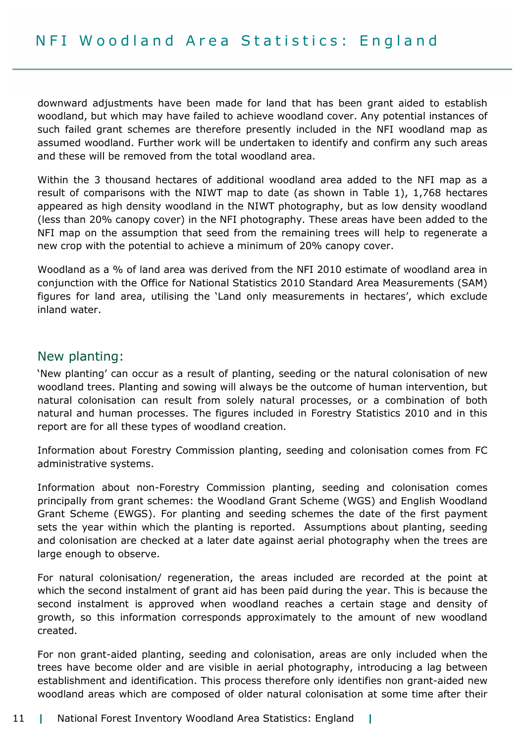downward adjustments have been made for land that has been grant aided to establish woodland, but which may have failed to achieve woodland cover. Any potential instances of such failed grant schemes are therefore presently included in the NFI woodland map as assumed woodland. Further work will be undertaken to identify and confirm any such areas and these will be removed from the total woodland area.

Within the 3 thousand hectares of additional woodland area added to the NFI map as a result of comparisons with the NIWT map to date (as shown in Table 1), 1,768 hectares appeared as high density woodland in the NIWT photography, but as low density woodland (less than 20% canopy cover) in the NFI photography. These areas have been added to the NFI map on the assumption that seed from the remaining trees will help to regenerate a new crop with the potential to achieve a minimum of 20% canopy cover.

Woodland as a % of land area was derived from the NFI 2010 estimate of woodland area in conjunction with the Office for National Statistics 2010 Standard Area Measurements (SAM) figures for land area, utilising the 'Land only measurements in hectares', which exclude inland water.

## New planting:

'New planting' can occur as a result of planting, seeding or the natural colonisation of new woodland trees. Planting and sowing will always be the outcome of human intervention, but natural colonisation can result from solely natural processes, or a combination of both natural and human processes. The figures included in Forestry Statistics 2010 and in this report are for all these types of woodland creation.

Information about Forestry Commission planting, seeding and colonisation comes from FC administrative systems.

Information about non-Forestry Commission planting, seeding and colonisation comes principally from grant schemes: the Woodland Grant Scheme (WGS) and English Woodland Grant Scheme (EWGS). For planting and seeding schemes the date of the first payment sets the year within which the planting is reported. Assumptions about planting, seeding and colonisation are checked at a later date against aerial photography when the trees are large enough to observe.

For natural colonisation/ regeneration, the areas included are recorded at the point at which the second instalment of grant aid has been paid during the year. This is because the second instalment is approved when woodland reaches a certain stage and density of growth, so this information corresponds approximately to the amount of new woodland created.

For non grant-aided planting, seeding and colonisation, areas are only included when the trees have become older and are visible in aerial photography, introducing a lag between establishment and identification. This process therefore only identifies non grant-aided new woodland areas which are composed of older natural colonisation at some time after their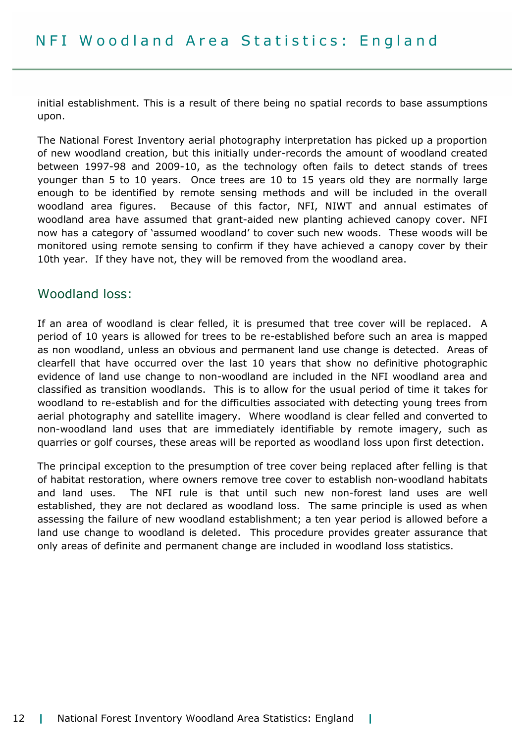initial establishment. This is a result of there being no spatial records to base assumptions upon.

The National Forest Inventory aerial photography interpretation has picked up a proportion of new woodland creation, but this initially under-records the amount of woodland created between 1997-98 and 2009-10, as the technology often fails to detect stands of trees younger than 5 to 10 years. Once trees are 10 to 15 years old they are normally large enough to be identified by remote sensing methods and will be included in the overall woodland area figures. Because of this factor, NFI, NIWT and annual estimates of woodland area have assumed that grant-aided new planting achieved canopy cover. NFI now has a category of 'assumed woodland' to cover such new woods. These woods will be monitored using remote sensing to confirm if they have achieved a canopy cover by their 10th year. If they have not, they will be removed from the woodland area.

#### Woodland loss:

If an area of woodland is clear felled, it is presumed that tree cover will be replaced. A period of 10 years is allowed for trees to be re-established before such an area is mapped as non woodland, unless an obvious and permanent land use change is detected. Areas of clearfell that have occurred over the last 10 years that show no definitive photographic evidence of land use change to non-woodland are included in the NFI woodland area and classified as transition woodlands. This is to allow for the usual period of time it takes for woodland to re-establish and for the difficulties associated with detecting young trees from aerial photography and satellite imagery. Where woodland is clear felled and converted to non-woodland land uses that are immediately identifiable by remote imagery, such as quarries or golf courses, these areas will be reported as woodland loss upon first detection.

The principal exception to the presumption of tree cover being replaced after felling is that of habitat restoration, where owners remove tree cover to establish non-woodland habitats and land uses. The NFI rule is that until such new non-forest land uses are well established, they are not declared as woodland loss. The same principle is used as when assessing the failure of new woodland establishment; a ten year period is allowed before a land use change to woodland is deleted. This procedure provides greater assurance that only areas of definite and permanent change are included in woodland loss statistics.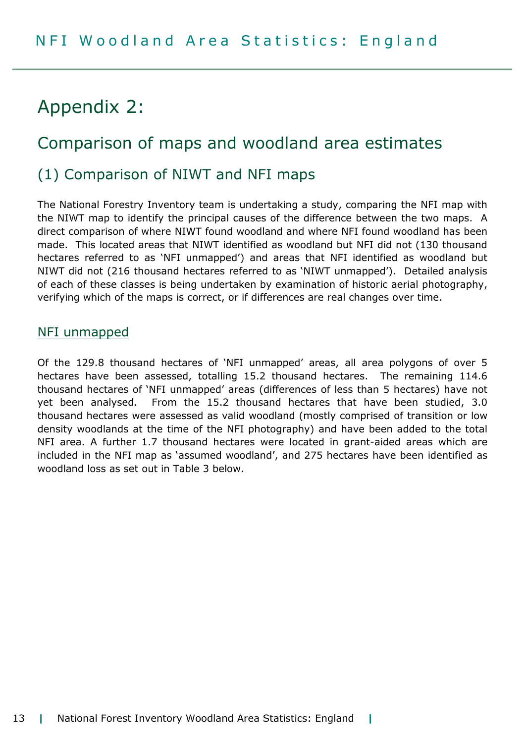# Appendix 2:

# Comparison of maps and woodland area estimates

# (1) Comparison of NIWT and NFI maps

The National Forestry Inventory team is undertaking a study, comparing the NFI map with the NIWT map to identify the principal causes of the difference between the two maps. A direct comparison of where NIWT found woodland and where NFI found woodland has been made. This located areas that NIWT identified as woodland but NFI did not (130 thousand hectares referred to as 'NFI unmapped') and areas that NFI identified as woodland but NIWT did not (216 thousand hectares referred to as 'NIWT unmapped'). Detailed analysis of each of these classes is being undertaken by examination of historic aerial photography, verifying which of the maps is correct, or if differences are real changes over time.

#### NFI unmapped

Of the 129.8 thousand hectares of 'NFI unmapped' areas, all area polygons of over 5 hectares have been assessed, totalling 15.2 thousand hectares. The remaining 114.6 thousand hectares of 'NFI unmapped' areas (differences of less than 5 hectares) have not yet been analysed. From the 15.2 thousand hectares that have been studied, 3.0 thousand hectares were assessed as valid woodland (mostly comprised of transition or low density woodlands at the time of the NFI photography) and have been added to the total NFI area. A further 1.7 thousand hectares were located in grant-aided areas which are included in the NFI map as 'assumed woodland', and 275 hectares have been identified as woodland loss as set out in Table 3 below.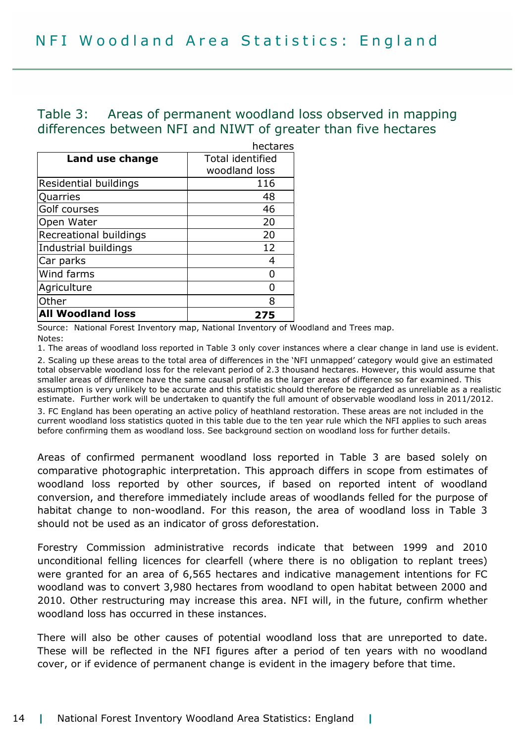## Table 3: Areas of permanent woodland loss observed in mapping differences between NFI and NIWT of greater than five hectares

|                          | hectares                |
|--------------------------|-------------------------|
| Land use change          | <b>Total identified</b> |
|                          | woodland loss           |
| Residential buildings    | 116                     |
| Quarries                 | 48                      |
| Golf courses             | 46                      |
| Open Water               | 20                      |
| Recreational buildings   | 20                      |
| Industrial buildings     | 12                      |
| Car parks                |                         |
| Wind farms               |                         |
| Agriculture              |                         |
| Other                    | 8                       |
| <b>All Woodland loss</b> | 275                     |

Source: National Forest Inventory map, National Inventory of Woodland and Trees map. Notes:

1. The areas of woodland loss reported in Table 3 only cover instances where a clear change in land use is evident. 2. Scaling up these areas to the total area of differences in the 'NFI unmapped' category would give an estimated total observable woodland loss for the relevant period of 2.3 thousand hectares. However, this would assume that smaller areas of difference have the same causal profile as the larger areas of difference so far examined. This assumption is very unlikely to be accurate and this statistic should therefore be regarded as unreliable as a realistic estimate. Further work will be undertaken to quantify the full amount of observable woodland loss in 2011/2012. 3. FC England has been operating an active policy of heathland restoration. These areas are not included in the

current woodland loss statistics quoted in this table due to the ten year rule which the NFI applies to such areas before confirming them as woodland loss. See background section on woodland loss for further details.

Areas of confirmed permanent woodland loss reported in Table 3 are based solely on comparative photographic interpretation. This approach differs in scope from estimates of woodland loss reported by other sources, if based on reported intent of woodland conversion, and therefore immediately include areas of woodlands felled for the purpose of habitat change to non-woodland. For this reason, the area of woodland loss in Table 3 should not be used as an indicator of gross deforestation.

Forestry Commission administrative records indicate that between 1999 and 2010 unconditional felling licences for clearfell (where there is no obligation to replant trees) were granted for an area of 6,565 hectares and indicative management intentions for FC woodland was to convert 3,980 hectares from woodland to open habitat between 2000 and 2010. Other restructuring may increase this area. NFI will, in the future, confirm whether woodland loss has occurred in these instances.

There will also be other causes of potential woodland loss that are unreported to date. These will be reflected in the NFI figures after a period of ten years with no woodland cover, or if evidence of permanent change is evident in the imagery before that time.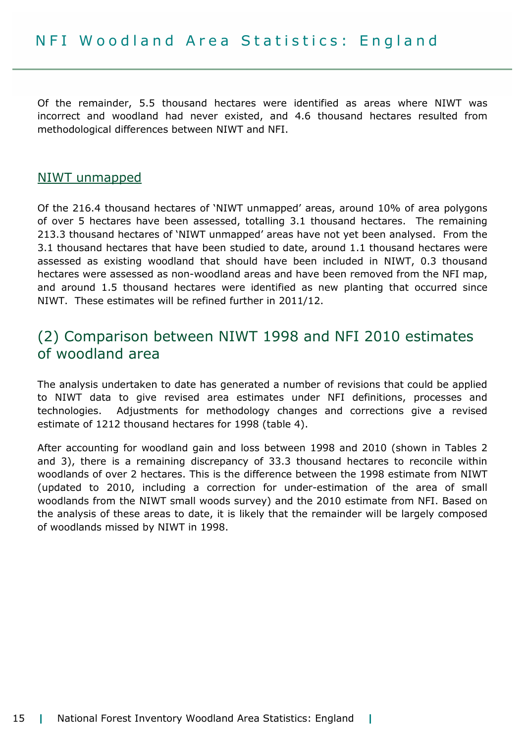Of the remainder, 5.5 thousand hectares were identified as areas where NIWT was incorrect and woodland had never existed, and 4.6 thousand hectares resulted from methodological differences between NIWT and NFI.

### NIWT unmapped

Of the 216.4 thousand hectares of 'NIWT unmapped' areas, around 10% of area polygons of over 5 hectares have been assessed, totalling 3.1 thousand hectares. The remaining 213.3 thousand hectares of 'NIWT unmapped' areas have not yet been analysed. From the 3.1 thousand hectares that have been studied to date, around 1.1 thousand hectares were assessed as existing woodland that should have been included in NIWT, 0.3 thousand hectares were assessed as non-woodland areas and have been removed from the NFI map, and around 1.5 thousand hectares were identified as new planting that occurred since NIWT. These estimates will be refined further in 2011/12.

# (2) Comparison between NIWT 1998 and NFI 2010 estimates of woodland area

The analysis undertaken to date has generated a number of revisions that could be applied to NIWT data to give revised area estimates under NFI definitions, processes and technologies. Adjustments for methodology changes and corrections give a revised estimate of 1212 thousand hectares for 1998 (table 4).

After accounting for woodland gain and loss between 1998 and 2010 (shown in Tables 2 and 3), there is a remaining discrepancy of 33.3 thousand hectares to reconcile within woodlands of over 2 hectares. This is the difference between the 1998 estimate from NIWT (updated to 2010, including a correction for under-estimation of the area of small woodlands from the NIWT small woods survey) and the 2010 estimate from NFI. Based on the analysis of these areas to date, it is likely that the remainder will be largely composed of woodlands missed by NIWT in 1998.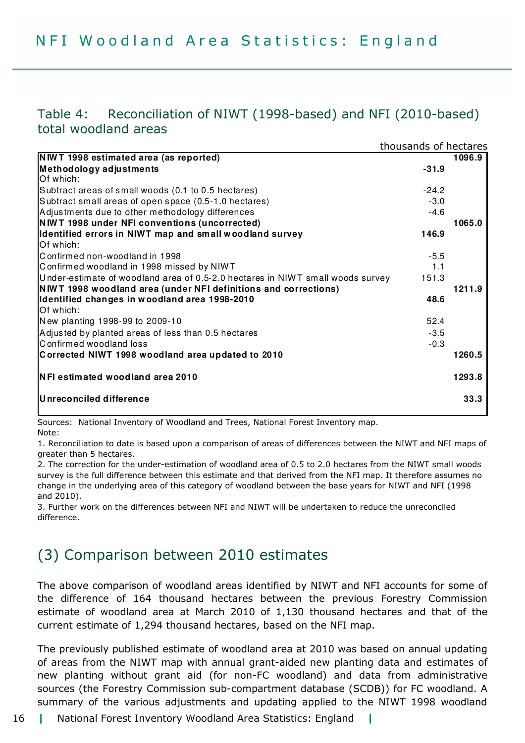## Table 4: Reconciliation of NIWT (1998-based) and NFI (2010-based) total woodland areas

|                                                                                | thousands of hectares |        |
|--------------------------------------------------------------------------------|-----------------------|--------|
| <b>NWT 1998 estimated area (as reported)</b>                                   |                       | 1096.9 |
| Methodology adjustments                                                        | $-31.9$               |        |
| Of which:                                                                      |                       |        |
| Subtract areas of small woods (0.1 to 0.5 hectares)                            | $-24.2$               |        |
| Subtract small areas of open space (0.5-1.0 hectares)                          | $-3.0$                |        |
| Adjustments due to other methodology differences                               | $-4.6$                |        |
| <b>NIWT 1998 under NFI conventions (uncorrected)</b>                           |                       | 1065.0 |
| Identified errors in NIWT map and small woodland survey                        | 146.9                 |        |
| Of which:                                                                      |                       |        |
| Confirmed non-woodland in 1998                                                 | $-5.5$                |        |
| Confirmed woodland in 1998 missed by NIWT                                      | 1.1                   |        |
| Under-estimate of woodland area of 0.5-2.0 hectares in NIWT small woods survey | 151.3                 |        |
| NWT 1998 woodland area (under NFI definitions and corrections)                 |                       | 1211.9 |
| Identified changes in woodland area 1998-2010                                  | 48.6                  |        |
| Of which:                                                                      |                       |        |
| New planting 1998-99 to 2009-10                                                | 52.4                  |        |
| Adjusted by planted areas of less than 0.5 hectares                            | $-3.5$                |        |
| Confirmed woodland loss                                                        | $-0.3$                |        |
| Corrected NIWT 1998 woodland area updated to 2010                              |                       | 1260.5 |
| NFI estimated woodland area 2010                                               |                       | 1293.8 |
| Unreconciled difference                                                        |                       | 33.3   |

Sources: National Inventory of Woodland and Trees, National Forest Inventory map. Note:

1. Reconciliation to date is based upon a comparison of areas of differences between the NIWT and NFI maps of greater than 5 hectares.

2. The correction for the under-estimation of woodland area of 0.5 to 2.0 hectares from the NIWT small woods survey is the full difference between this estimate and that derived from the NFI map. It therefore assumes no change in the underlying area of this category of woodland between the base years for NIWT and NFI (1998 and 2010).

3. Further work on the differences between NFI and NIWT will be undertaken to reduce the unreconciled difference.

# (3) Comparison between 2010 estimates

The above comparison of woodland areas identified by NIWT and NFI accounts for some of the difference of 164 thousand hectares between the previous Forestry Commission estimate of woodland area at March 2010 of 1,130 thousand hectares and that of the current estimate of 1,294 thousand hectares, based on the NFI map.

The previously published estimate of woodland area at 2010 was based on annual updating of areas from the NIWT map with annual grant-aided new planting data and estimates of new planting without grant aid (for non-FC woodland) and data from administrative sources (the Forestry Commission sub-compartment database (SCDB)) for FC woodland. A summary of the various adjustments and updating applied to the NIWT 1998 woodland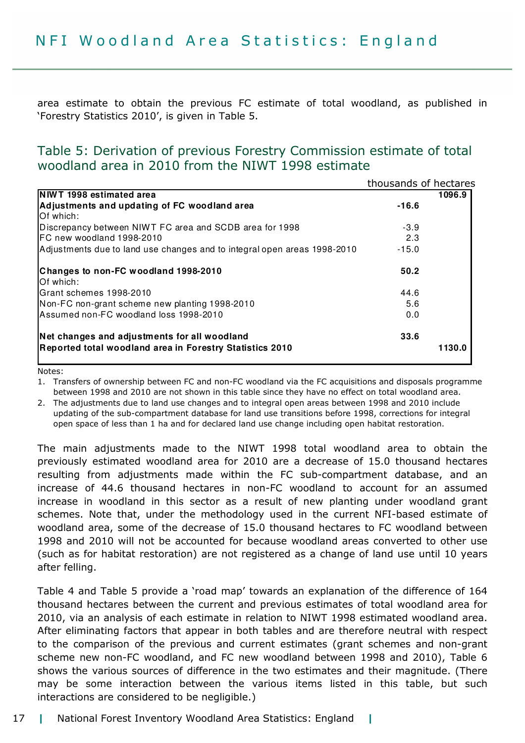area estimate to obtain the previous FC estimate of total woodland, as published in 'Forestry Statistics 2010', is given in Table 5.

## Table 5: Derivation of previous Forestry Commission estimate of total woodland area in 2010 from the NIWT 1998 estimate

|                                                                          | thousands of hectares |        |
|--------------------------------------------------------------------------|-----------------------|--------|
| NIWT 1998 estimated area                                                 |                       | 1096.9 |
| Adjustments and updating of FC woodland area<br>Of which:                | $-16.6$               |        |
| Discrepancy between NIWT FC area and SCDB area for 1998                  | $-3.9$                |        |
| FC new woodland 1998-2010                                                | 2.3                   |        |
| Adjustments due to land use changes and to integral open areas 1998-2010 | $-15.0$               |        |
| Changes to non-FC woodland 1998-2010<br>Of which:                        | 50.2                  |        |
| Grant schemes 1998-2010                                                  | 44.6                  |        |
| Non-FC non-grant scheme new planting 1998-2010                           | 5.6                   |        |
| Assumed non-FC woodland loss 1998-2010                                   | 0.0                   |        |
| Net changes and adjustments for all woodland                             | 33.6                  |        |
| Reported total woodland area in Forestry Statistics 2010                 |                       | 1130.0 |
|                                                                          |                       |        |

Notes:

1. Transfers of ownership between FC and non-FC woodland via the FC acquisitions and disposals programme between 1998 and 2010 are not shown in this table since they have no effect on total woodland area.

2. The adjustments due to land use changes and to integral open areas between 1998 and 2010 include updating of the sub-compartment database for land use transitions before 1998, corrections for integral open space of less than 1 ha and for declared land use change including open habitat restoration.

The main adjustments made to the NIWT 1998 total woodland area to obtain the previously estimated woodland area for 2010 are a decrease of 15.0 thousand hectares resulting from adjustments made within the FC sub-compartment database, and an increase of 44.6 thousand hectares in non-FC woodland to account for an assumed increase in woodland in this sector as a result of new planting under woodland grant schemes. Note that, under the methodology used in the current NFI-based estimate of woodland area, some of the decrease of 15.0 thousand hectares to FC woodland between 1998 and 2010 will not be accounted for because woodland areas converted to other use (such as for habitat restoration) are not registered as a change of land use until 10 years after felling.

Table 4 and Table 5 provide a 'road map' towards an explanation of the difference of 164 thousand hectares between the current and previous estimates of total woodland area for 2010, via an analysis of each estimate in relation to NIWT 1998 estimated woodland area. After eliminating factors that appear in both tables and are therefore neutral with respect to the comparison of the previous and current estimates (grant schemes and non-grant scheme new non-FC woodland, and FC new woodland between 1998 and 2010), Table 6 shows the various sources of difference in the two estimates and their magnitude. (There may be some interaction between the various items listed in this table, but such interactions are considered to be negligible.)

#### 17 | National Forest Inventory Woodland Area Statistics: England |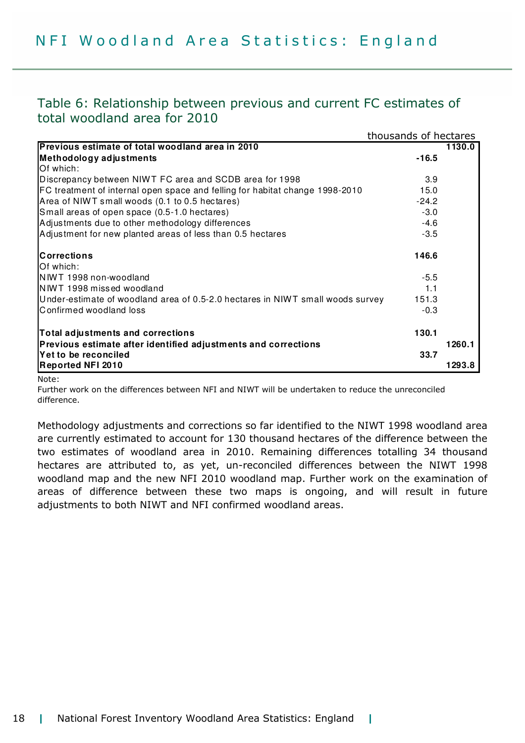## Table 6: Relationship between previous and current FC estimates of total woodland area for 2010

|                                                                                | thousands of hectares |        |
|--------------------------------------------------------------------------------|-----------------------|--------|
| Previous estimate of total woodland area in 2010                               |                       | 1130.0 |
| Methodology adjustments                                                        | $-16.5$               |        |
| Of which:                                                                      |                       |        |
| Discrepancy between NIWT FC area and SCDB area for 1998                        | 3.9                   |        |
| FC treatment of internal open space and felling for habitat change 1998-2010   | 15.0                  |        |
| Area of NIWT small woods (0.1 to 0.5 hectares)                                 | $-24.2$               |        |
| Small areas of open space (0.5-1.0 hectares)                                   | $-3.0$                |        |
| Adjustments due to other methodology differences                               | $-4.6$                |        |
| Adjustment for new planted areas of less than 0.5 hectares                     | $-3.5$                |        |
| <b>Corrections</b>                                                             | 146.6                 |        |
| Of which:                                                                      |                       |        |
| NIWT 1998 non-woodland                                                         | $-5.5$                |        |
| NIWT 1998 missed woodland                                                      | 1.1                   |        |
| Under-estimate of woodland area of 0.5-2.0 hectares in NIWT small woods survey | 151.3                 |        |
| Confirmed woodland loss                                                        | $-0.3$                |        |
| Total adjustments and corrections                                              | 130.1                 |        |
| Previous estimate after identified adjustments and corrections                 |                       | 1260.1 |
| Yet to be reconciled                                                           | 33.7                  |        |
| <b>Reported NFI 2010</b>                                                       |                       | 1293.8 |

Note:

Further work on the differences between NFI and NIWT will be undertaken to reduce the unreconciled difference.

Methodology adjustments and corrections so far identified to the NIWT 1998 woodland area are currently estimated to account for 130 thousand hectares of the difference between the two estimates of woodland area in 2010. Remaining differences totalling 34 thousand hectares are attributed to, as yet, un-reconciled differences between the NIWT 1998 woodland map and the new NFI 2010 woodland map. Further work on the examination of areas of difference between these two maps is ongoing, and will result in future adjustments to both NIWT and NFI confirmed woodland areas.